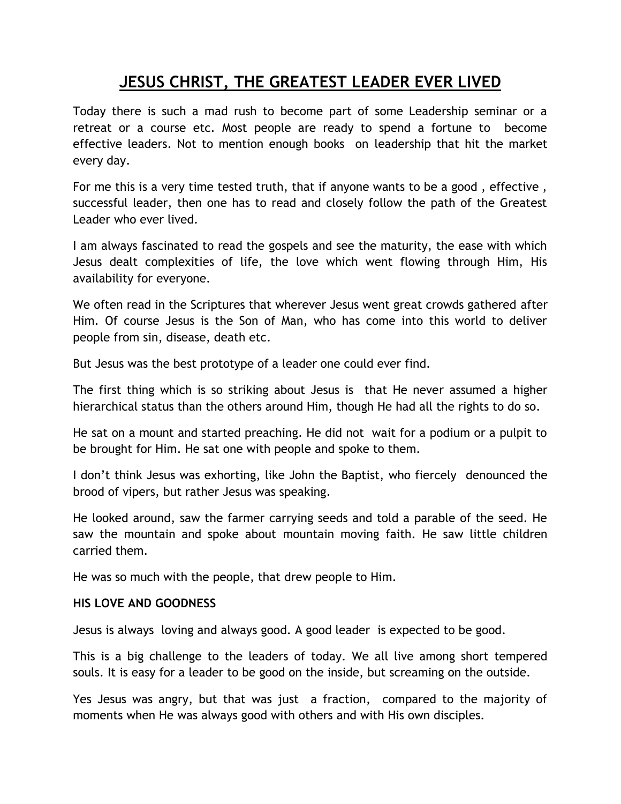## **JESUS CHRIST, THE GREATEST LEADER EVER LIVED**

Today there is such a mad rush to become part of some Leadership seminar or a retreat or a course etc. Most people are ready to spend a fortune to become effective leaders. Not to mention enough books on leadership that hit the market every day.

For me this is a very time tested truth, that if anyone wants to be a good , effective , successful leader, then one has to read and closely follow the path of the Greatest Leader who ever lived.

I am always fascinated to read the gospels and see the maturity, the ease with which Jesus dealt complexities of life, the love which went flowing through Him, His availability for everyone.

We often read in the Scriptures that wherever Jesus went great crowds gathered after Him. Of course Jesus is the Son of Man, who has come into this world to deliver people from sin, disease, death etc.

But Jesus was the best prototype of a leader one could ever find.

The first thing which is so striking about Jesus is that He never assumed a higher hierarchical status than the others around Him, though He had all the rights to do so.

He sat on a mount and started preaching. He did not wait for a podium or a pulpit to be brought for Him. He sat one with people and spoke to them.

I don't think Jesus was exhorting, like John the Baptist, who fiercely denounced the brood of vipers, but rather Jesus was speaking.

He looked around, saw the farmer carrying seeds and told a parable of the seed. He saw the mountain and spoke about mountain moving faith. He saw little children carried them.

He was so much with the people, that drew people to Him.

## **HIS LOVE AND GOODNESS**

Jesus is always loving and always good. A good leader is expected to be good.

This is a big challenge to the leaders of today. We all live among short tempered souls. It is easy for a leader to be good on the inside, but screaming on the outside.

Yes Jesus was angry, but that was just a fraction, compared to the majority of moments when He was always good with others and with His own disciples.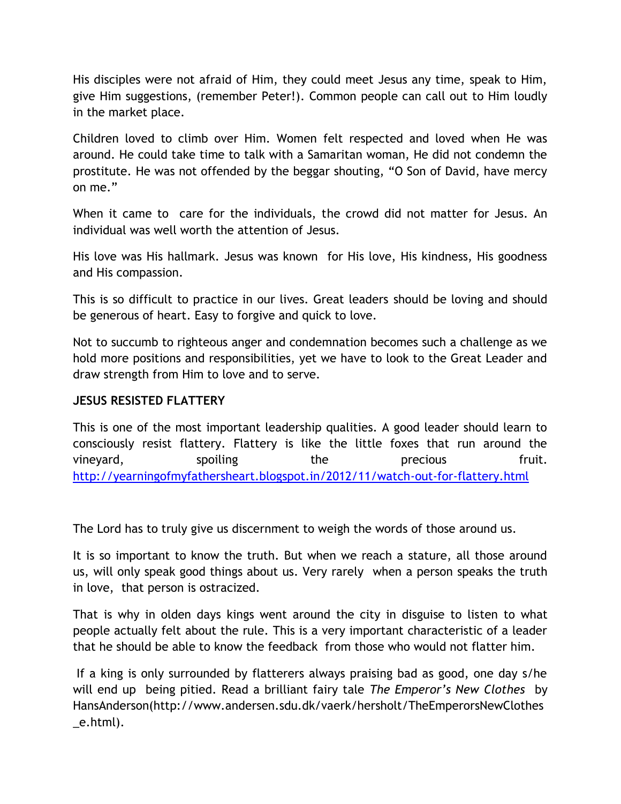His disciples were not afraid of Him, they could meet Jesus any time, speak to Him, give Him suggestions, (remember Peter!). Common people can call out to Him loudly in the market place.

Children loved to climb over Him. Women felt respected and loved when He was around. He could take time to talk with a Samaritan woman, He did not condemn the prostitute. He was not offended by the beggar shouting, "O Son of David, have mercy on me."

When it came to care for the individuals, the crowd did not matter for Jesus. An individual was well worth the attention of Jesus.

His love was His hallmark. Jesus was known for His love, His kindness, His goodness and His compassion.

This is so difficult to practice in our lives. Great leaders should be loving and should be generous of heart. Easy to forgive and quick to love.

Not to succumb to righteous anger and condemnation becomes such a challenge as we hold more positions and responsibilities, yet we have to look to the Great Leader and draw strength from Him to love and to serve.

## **JESUS RESISTED FLATTERY**

This is one of the most important leadership qualities. A good leader should learn to consciously resist flattery. Flattery is like the little foxes that run around the vineyard, spoiling the precious fruit. <http://yearningofmyfathersheart.blogspot.in/2012/11/watch-out-for-flattery.html>

The Lord has to truly give us discernment to weigh the words of those around us.

It is so important to know the truth. But when we reach a stature, all those around us, will only speak good things about us. Very rarely when a person speaks the truth in love, that person is ostracized.

That is why in olden days kings went around the city in disguise to listen to what people actually felt about the rule. This is a very important characteristic of a leader that he should be able to know the feedback from those who would not flatter him.

If a king is only surrounded by flatterers always praising bad as good, one day s/he will end up being pitied. Read a brilliant fairy tale *The Emperor's New Clothes* by HansAnderson(http://www.andersen.sdu.dk/vaerk/hersholt/TheEmperorsNewClothes \_e.html).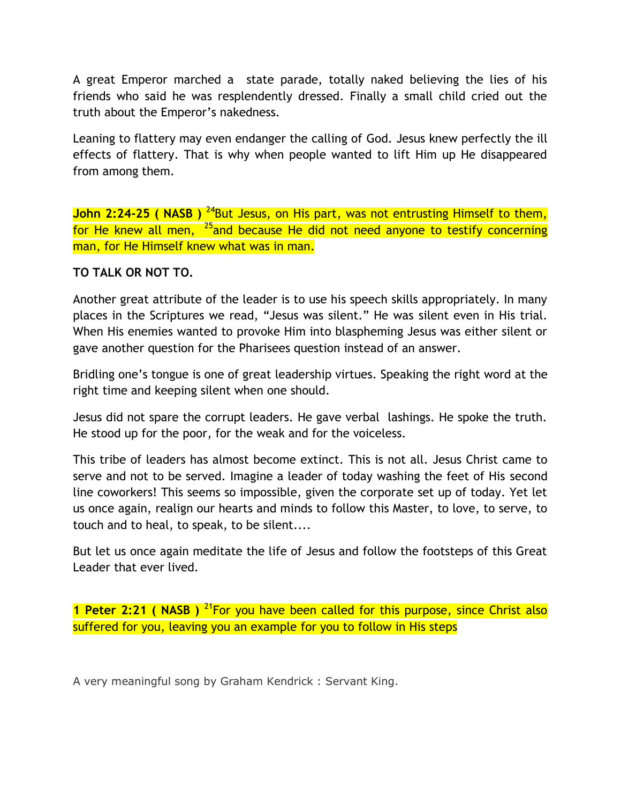A great Emperor marched a state parade, totally naked believing the lies of his friends who said he was resplendently dressed. Finally a small child cried out the truth about the Emperor's nakedness.

Leaning to flattery may even endanger the calling of God. Jesus knew perfectly the ill effects of flattery. That is why when people wanted to lift Him up He disappeared from among them.

**John 2:24-25 ( NASB** ) <sup>24</sup>But Jesus, on His part, was not entrusting Himself to them, for He knew all men,  $^{25}$ and because He did not need anyone to testify concerning man, for He Himself knew what was in man.

## **TO TALK OR NOT TO.**

Another great attribute of the leader is to use his speech skills appropriately. In many places in the Scriptures we read, "Jesus was silent." He was silent even in His trial. When His enemies wanted to provoke Him into blaspheming Jesus was either silent or gave another question for the Pharisees question instead of an answer.

Bridling one's tongue is one of great leadership virtues. Speaking the right word at the right time and keeping silent when one should.

Jesus did not spare the corrupt leaders. He gave verbal lashings. He spoke the truth. He stood up for the poor, for the weak and for the voiceless.

This tribe of leaders has almost become extinct. This is not all. Jesus Christ came to serve and not to be served. Imagine a leader of today washing the feet of His second line coworkers! This seems so impossible, given the corporate set up of today. Yet let us once again, realign our hearts and minds to follow this Master, to love, to serve, to touch and to heal, to speak, to be silent....

But let us once again meditate the life of Jesus and follow the footsteps of this Great Leader that ever lived.

**1 Peter 2:21 ( NASB )** <sup>21</sup>For you have been called for this purpose, since Christ also suffered for you, leaving you an example for you to follow in His steps

A very meaningful song by Graham Kendrick : Servant King.